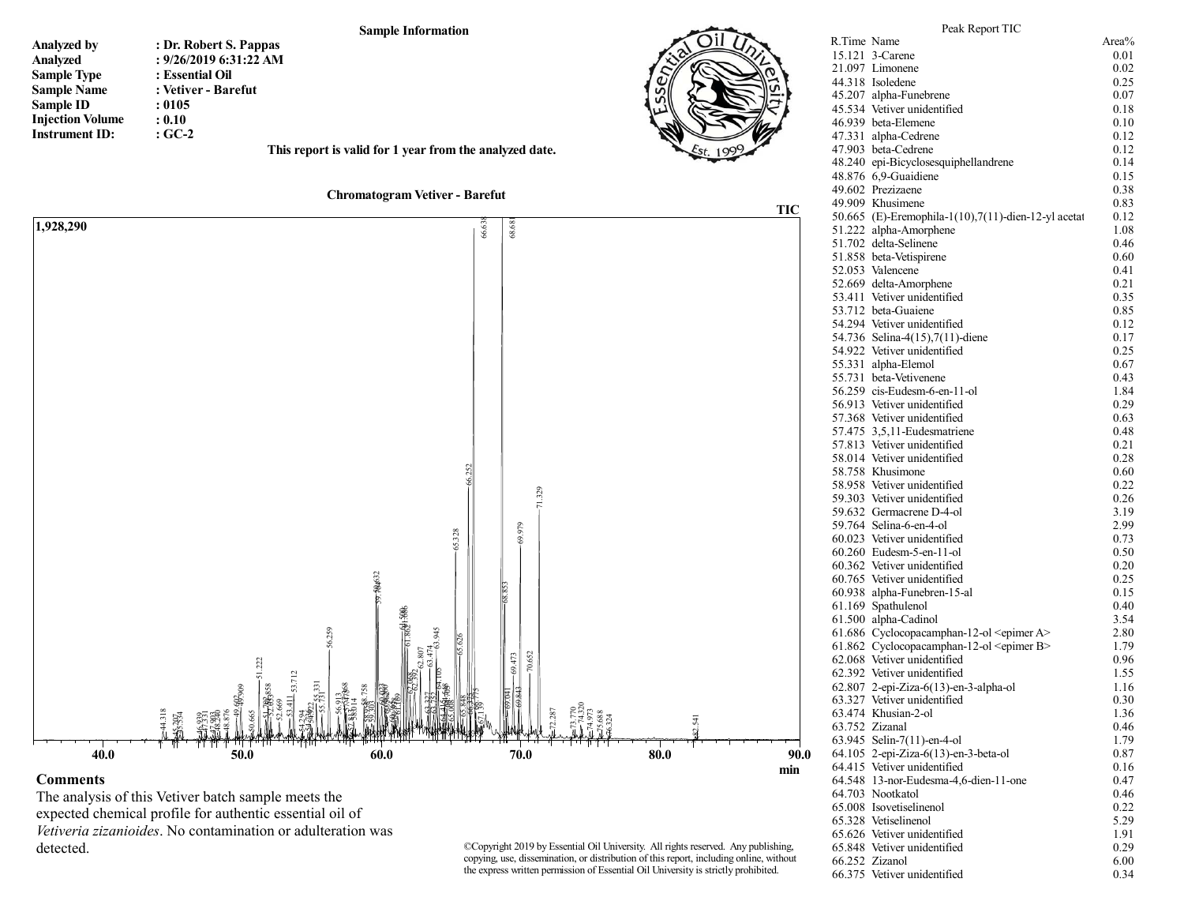

## The analysis of this Vetiver batch sample meets the expected chemical profile for authentic essential oil of *Vetiveria zizanioides*. No contamination or adulteration was detected.

©Copyright 2019 by Essential Oil University. All rights reserved. Any publishing, copying, use, dissemination, or distribution of this report, including online, without the express written permission of Essential Oil University is strictly prohibited.

64.703 Nootkatol

65.328 Vetiselinenol

66.375 Vetiver unidentified

65.008 Isovetiselinenol 0.22<br>65.328 Vetiselinenol 5.29

65.626 Vetiver unidentified 1.91<br>65.848 Vetiver unidentified 0.29 65.848 Vetiver unidentified 0.29<br>66.252 Zizanol 6.00 66.252 Zizanol 6.00<br>66.375 Vetiver unidentified 0.34